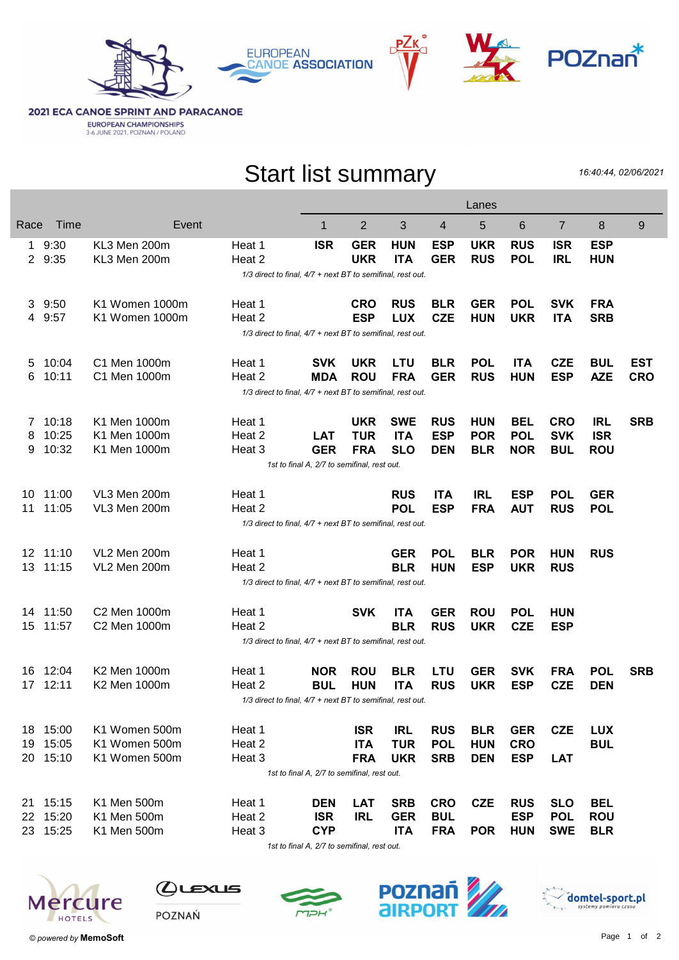







**2021 ECA CANOE SPRINT AND PARACANOE EUROPEAN CHAMPIONSHIPS**<br>3-6 JUNE 2021, POZNAN / POLAND

## Start list summary

16:40:44, 02/06/2021

|                                             |                                                            |                |        |            |            |            |            | Lanes      |            |                |            |            |
|---------------------------------------------|------------------------------------------------------------|----------------|--------|------------|------------|------------|------------|------------|------------|----------------|------------|------------|
| Race                                        | Time                                                       | Event          |        | 1          | 2          | 3          | 4          | 5          | 6          | $\overline{7}$ | 8          | 9          |
|                                             | 9:30                                                       | KL3 Men 200m   | Heat 1 | <b>ISR</b> | <b>GER</b> | <b>HUN</b> | <b>ESP</b> | <b>UKR</b> | <b>RUS</b> | <b>ISR</b>     | <b>ESP</b> |            |
| $\mathbf{2}$                                | 9:35                                                       | KL3 Men 200m   | Heat 2 |            | <b>UKR</b> | <b>ITA</b> | <b>GER</b> | <b>RUS</b> | <b>POL</b> | <b>IRL</b>     | <b>HUN</b> |            |
|                                             | 1/3 direct to final, 4/7 + next BT to semifinal, rest out. |                |        |            |            |            |            |            |            |                |            |            |
| 3                                           | 9:50                                                       | K1 Women 1000m | Heat 1 |            | <b>CRO</b> | <b>RUS</b> | <b>BLR</b> | <b>GER</b> | <b>POL</b> | <b>SVK</b>     | <b>FRA</b> |            |
| 4                                           | 9:57                                                       | K1 Women 1000m | Heat 2 |            | <b>ESP</b> | <b>LUX</b> | <b>CZE</b> | <b>HUN</b> | <b>UKR</b> | <b>ITA</b>     | <b>SRB</b> |            |
|                                             | 1/3 direct to final, 4/7 + next BT to semifinal, rest out. |                |        |            |            |            |            |            |            |                |            |            |
| 5                                           | 10:04                                                      | C1 Men 1000m   | Heat 1 | <b>SVK</b> | <b>UKR</b> | <b>LTU</b> | <b>BLR</b> | <b>POL</b> | <b>ITA</b> | <b>CZE</b>     | <b>BUL</b> | EST        |
| 6                                           | 10:11                                                      | C1 Men 1000m   | Heat 2 | <b>MDA</b> | <b>ROU</b> | <b>FRA</b> | <b>GER</b> | <b>RUS</b> | <b>HUN</b> | <b>ESP</b>     | <b>AZE</b> | <b>CRO</b> |
|                                             | 1/3 direct to final, 4/7 + next BT to semifinal, rest out. |                |        |            |            |            |            |            |            |                |            |            |
| 7                                           | 10:18                                                      | K1 Men 1000m   | Heat 1 |            | <b>UKR</b> | <b>SWE</b> | <b>RUS</b> | <b>HUN</b> | <b>BEL</b> | <b>CRO</b>     | <b>IRL</b> | <b>SRB</b> |
| 8                                           | 10:25                                                      | K1 Men 1000m   | Heat 2 | <b>LAT</b> | <b>TUR</b> | <b>ITA</b> | <b>ESP</b> | <b>POR</b> | <b>POL</b> | <b>SVK</b>     | <b>ISR</b> |            |
| 9                                           | 10:32                                                      | K1 Men 1000m   | Heat 3 | <b>GER</b> | <b>FRA</b> | <b>SLO</b> | <b>DEN</b> | <b>BLR</b> | <b>NOR</b> | <b>BUL</b>     | <b>ROU</b> |            |
|                                             | 1st to final A, 2/7 to semifinal, rest out.                |                |        |            |            |            |            |            |            |                |            |            |
| 10                                          | 11:00                                                      | VL3 Men 200m   | Heat 1 |            |            | <b>RUS</b> | <b>ITA</b> | <b>IRL</b> | <b>ESP</b> | <b>POL</b>     | <b>GER</b> |            |
| 11                                          | 11:05                                                      | VL3 Men 200m   | Heat 2 |            |            | <b>POL</b> | <b>ESP</b> | <b>FRA</b> | <b>AUT</b> | <b>RUS</b>     | <b>POL</b> |            |
|                                             | 1/3 direct to final, 4/7 + next BT to semifinal, rest out. |                |        |            |            |            |            |            |            |                |            |            |
|                                             | 12 11:10                                                   | VL2 Men 200m   | Heat 1 |            |            | <b>GER</b> | <b>POL</b> | <b>BLR</b> | <b>POR</b> | <b>HUN</b>     | <b>RUS</b> |            |
| 13                                          | 11:15                                                      | VL2 Men 200m   | Heat 2 |            |            | <b>BLR</b> | <b>HUN</b> | <b>ESP</b> | <b>UKR</b> | <b>RUS</b>     |            |            |
|                                             | 1/3 direct to final, 4/7 + next BT to semifinal, rest out. |                |        |            |            |            |            |            |            |                |            |            |
| 14.                                         | 11:50                                                      | C2 Men 1000m   | Heat 1 |            | <b>SVK</b> | <b>ITA</b> | <b>GER</b> | <b>ROU</b> | <b>POL</b> | <b>HUN</b>     |            |            |
| 15                                          | 11:57                                                      | C2 Men 1000m   | Heat 2 |            |            | <b>BLR</b> | <b>RUS</b> | <b>UKR</b> | <b>CZE</b> | <b>ESP</b>     |            |            |
|                                             | 1/3 direct to final, 4/7 + next BT to semifinal, rest out. |                |        |            |            |            |            |            |            |                |            |            |
|                                             | 16 12:04                                                   | K2 Men 1000m   | Heat 1 | <b>NOR</b> | <b>ROU</b> | <b>BLR</b> | LTU        | <b>GER</b> | <b>SVK</b> | <b>FRA</b>     | <b>POL</b> | <b>SRB</b> |
| 17                                          | 12:11                                                      | K2 Men 1000m   | Heat 2 | <b>BUL</b> | <b>HUN</b> | <b>ITA</b> | <b>RUS</b> | <b>UKR</b> | <b>ESP</b> | <b>CZE</b>     | <b>DEN</b> |            |
|                                             | 1/3 direct to final, 4/7 + next BT to semifinal, rest out. |                |        |            |            |            |            |            |            |                |            |            |
|                                             | 18 15:00                                                   | K1 Women 500m  | Heat 1 |            | <b>ISR</b> | <b>IRL</b> | <b>RUS</b> | <b>BLR</b> | <b>GER</b> | <b>CZE</b>     | <b>LUX</b> |            |
| 19                                          | 15:05                                                      | K1 Women 500m  | Heat 2 |            | <b>ITA</b> | <b>TUR</b> | <b>POL</b> | <b>HUN</b> | <b>CRO</b> |                | <b>BUL</b> |            |
|                                             | 20 15:10                                                   | K1 Women 500m  | Heat 3 |            | <b>FRA</b> | <b>UKR</b> | <b>SRB</b> | <b>DEN</b> | <b>ESP</b> | <b>LAT</b>     |            |            |
| 1st to final A, 2/7 to semifinal, rest out. |                                                            |                |        |            |            |            |            |            |            |                |            |            |
|                                             | 21 15:15                                                   | K1 Men 500m    | Heat 1 | <b>DEN</b> | <b>LAT</b> | <b>SRB</b> | <b>CRO</b> | <b>CZE</b> | <b>RUS</b> | <b>SLO</b>     | <b>BEL</b> |            |
|                                             | 22 15:20                                                   | K1 Men 500m    | Heat 2 | <b>ISR</b> | <b>IRL</b> | <b>GER</b> | <b>BUL</b> |            | <b>ESP</b> | <b>POL</b>     | <b>ROU</b> |            |
|                                             | 23 15:25                                                   | K1 Men 500m    | Heat 3 | <b>CYP</b> |            | <b>ITA</b> | <b>FRA</b> | <b>POR</b> | <b>HUN</b> | <b>SWE</b>     | <b>BLR</b> |            |
|                                             |                                                            |                |        |            |            |            |            |            |            |                |            |            |

1st to final A, 2/7 to semifinal, rest out.



 $Q$ Lexus